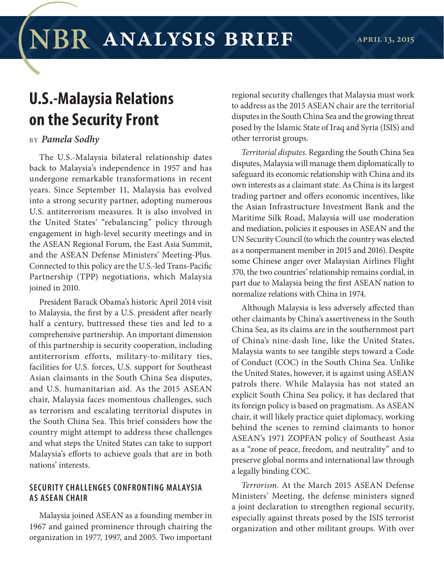## **U.S.-Malaysia Relations on the Security Front**

## BY *Pamela Sodhy*

The U.S.-Malaysia bilateral relationship dates back to Malaysia's independence in 1957 and has undergone remarkable transformations in recent years. Since September 11, Malaysia has evolved into a strong security partner, adopting numerous U.S. antiterrorism measures. It is also involved in the United States' "rebalancing" policy through engagement in high-level security meetings and in the ASEAN Regional Forum, the East Asia Summit, and the ASEAN Defense Ministers' Meeting-Plus. Connected to this policy are the U.S.-led Trans-Pacific Partnership (TPP) negotiations, which Malaysia joined in 2010.

President Barack Obama's historic April 2014 visit to Malaysia, the first by a U.S. president after nearly half a century, buttressed these ties and led to a comprehensive partnership. An important dimension of this partnership is security cooperation, including antiterrorism efforts, military-to-military ties, facilities for U.S. forces, U.S. support for Southeast Asian claimants in the South China Sea disputes, and U.S. humanitarian aid. As the 2015 ASEAN chair, Malaysia faces momentous challenges, such as terrorism and escalating territorial disputes in the South China Sea. This brief considers how the country might attempt to address these challenges and what steps the United States can take to support Malaysia's efforts to achieve goals that are in both nations' interests.

## **SECURIT Y CHALLENGES CONFRONTING MALAYSIA AS ASEAN CHAIR**

Malaysia joined ASEAN as a founding member in 1967 and gained prominence through chairing the organization in 1977, 1997, and 2005. Two important

regional security challenges that Malaysia must work to address as the 2015 ASEAN chair are the territorial disputes in the South China Sea and the growing threat posed by the Islamic State of Iraq and Syria (ISIS) and other terrorist groups.

*Territorial disputes*. Regarding the South China Sea disputes, Malaysia will manage them diplomatically to safeguard its economic relationship with China and its own interests as a claimant state. As China is its largest trading partner and offers economic incentives, like the Asian Infrastructure Investment Bank and the Maritime Silk Road, Malaysia will use moderation and mediation, policies it espouses in ASEAN and the UN Security Council (to which the country was elected as a nonpermanent member in 2015 and 2016). Despite some Chinese anger over Malaysian Airlines Flight 370, the two countries' relationship remains cordial, in part due to Malaysia being the first ASEAN nation to normalize relations with China in 1974.

Although Malaysia is less adversely affected than other claimants by China's assertiveness in the South China Sea, as its claims are in the southernmost part of China's nine-dash line, like the United States, Malaysia wants to see tangible steps toward a Code of Conduct (COC) in the South China Sea. Unlike the United States, however, it is against using ASEAN patrols there. While Malaysia has not stated an explicit South China Sea policy, it has declared that its foreign policy is based on pragmatism. As ASEAN chair, it will likely practice quiet diplomacy, working behind the scenes to remind claimants to honor ASEAN's 1971 ZOPFAN policy of Southeast Asia as a "zone of peace, freedom, and neutrality" and to preserve global norms and international law through a legally binding COC.

*Terrorism*. At the March 2015 ASEAN Defense Ministers' Meeting, the defense ministers signed a joint declaration to strengthen regional security, especially against threats posed by the ISIS terrorist organization and other militant groups. With over